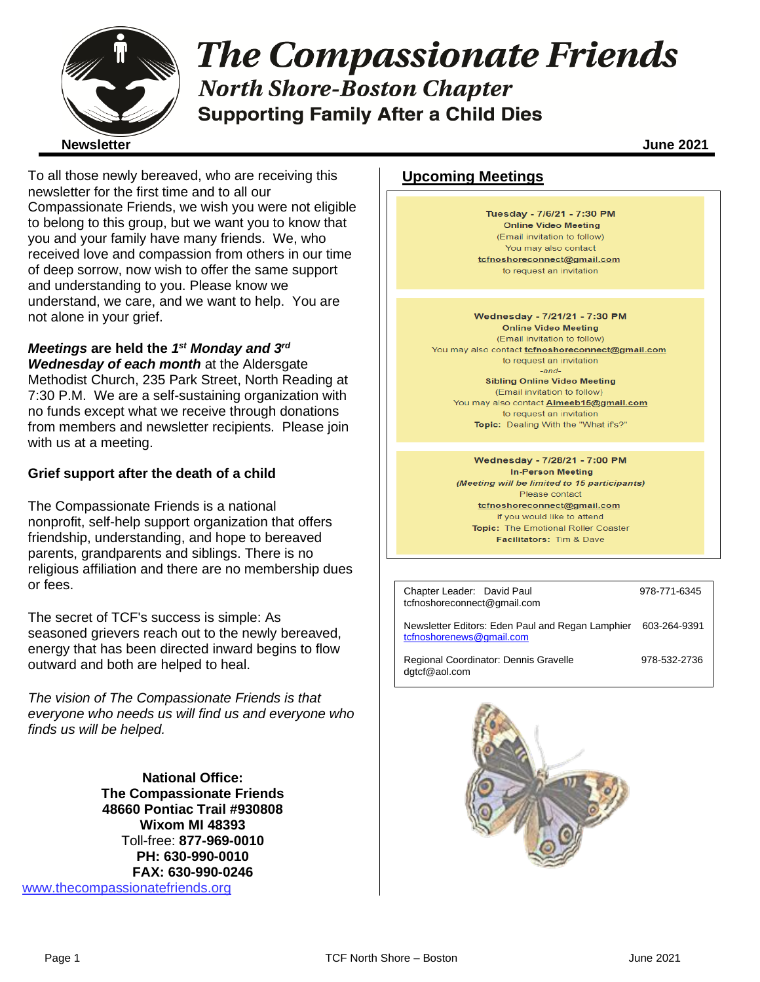

# **The Compassionate Friends North Shore-Boston Chapter Supporting Family After a Child Dies**

To all those newly bereaved, who are receiving this newsletter for the first time and to all our Compassionate Friends, we wish you were not eligible to belong to this group, but we want you to know that you and your family have many friends. We, who received love and compassion from others in our time of deep sorrow, now wish to offer the same support and understanding to you. Please know we understand, we care, and we want to help. You are not alone in your grief.

## *Meetings* **are held the** *1 st Monday and 3rd*

*Wednesday of each month* at the Aldersgate Methodist Church, 235 Park Street, North Reading at 7:30 P.M. We are a self-sustaining organization with no funds except what we receive through donations from members and newsletter recipients. Please join with us at a meeting.

#### **Grief support after the death of a child**

The Compassionate Friends is a national nonprofit, self-help support organization that offers friendship, understanding, and hope to bereaved parents, grandparents and siblings. There is no religious affiliation and there are no membership dues or fees.

The secret of TCF's success is simple: As seasoned grievers reach out to the newly bereaved, energy that has been directed inward begins to flow outward and both are helped to heal.

*The vision of The Compassionate Friends is that everyone who needs us will find us and everyone who finds us will be helped.*

**National Office: The Compassionate Friends 48660 Pontiac Trail #930808 Wixom MI 48393** Toll-free: **877-969-0010 PH: 630-990-0010 FAX: 630-990-0246** [www.thecompassionatefriends.org](http://www.thecompassionatefriends.org/)

## **Upcoming Meetings**

Tuesday - 7/6/21 - 7:30 PM **Online Video Meeting** (Email invitation to follow) You may also contact tcfnoshoreconnect@gmail.com to request an invitation

Wednesday - 7/21/21 - 7:30 PM **Online Video Meeting** (Email invitation to follow) You may also contact *tcfnoshoreconnect@gmail.com* to request an invitation<br>*-and-*<br>**Sibling Online Video Meeting** -and-(Email invitation to follow) You may also contact **Aimeeb15@gmail.com** to request an invitation Topic: Dealing With the "What if's?"

> Wednesday - 7/28/21 - 7:00 PM **In-Person Meeting** (Meeting will be limited to 15 participants) Please contact tcfnoshoreconnect@gmail.com if you would like to attend Topic: The Emotional Roller Coaster Facilitators: Tim & Dave

Chapter Leader: David Paul 978-771-6345 tcfnoshoreconnect@gmail.com

[tcfnoshorenews@gmail.com](mailto:tcfnoshorenews@gmail.com)

Newsletter Editors: Eden Paul and Regan Lamphier 603-264-9391

Regional Coordinator: Dennis Gravelle 978-532-2736 dgtcf@aol.com

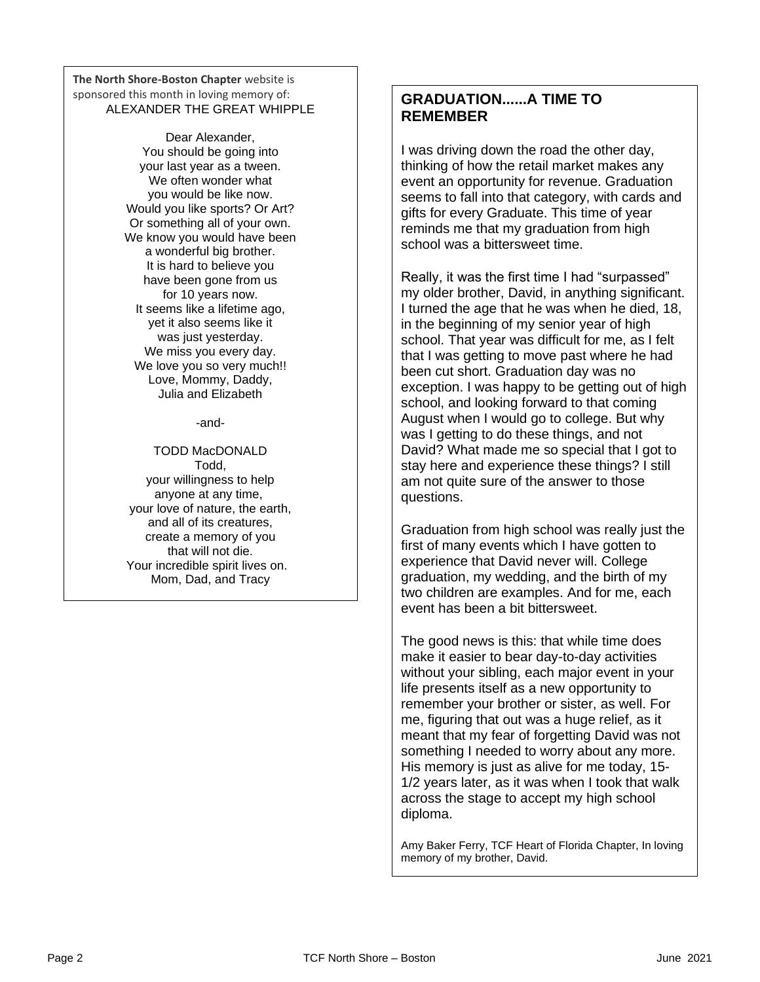**The North Shore-Boston Chapter** website is sponsored this month in loving memory of:<br>ALEXANDED TUE ODEAT WILL  ALEXANDER THE GREAT WHIPPLE

 You should be going into your last year as a tween.<br>We often wonder what **you would be like now.**<br>
<sup>Id you like aparta? Or</sup>  Or something all of your own.  a wonderful big brother. **It is hard to believe you<br>have been gone from us** for 10 years now.<br>It seems like a lifetime ago,  yet it also seems like it was just yesterday.<br>We miss you every day. We love you so very much!!<br>Love, Mommy, Daddy, Dear Alexander, We often wonder what Would you like sports? Or Art? We know you would have been have been gone from us for 10 years now. was just yesterday. Love, Mommy, Daddy, Julia and Elizabeth

-and-

Todd,<br>your willingness to help anyone at any time,<br>your love of nature, the earth, and all of its creatures, create a memory of you<br>
that will not die. <sup>.</sup> incredible spirit lives o<br>Mom, Dad, and Tracy  TODD MacDONALD Todd, anyone at any time, that will not die. Your incredible spirit lives on.

## **GRADUATION......A TIME TO REMEMBER**

I was driving down the road the other day, thinking of how the retail market makes any event an opportunity for revenue. Graduation seems to fall into that category, with cards and gifts for every Graduate. This time of year reminds me that my graduation from high school was a bittersweet time.

Really, it was the first time I had "surpassed" my older brother, David, in anything significant. I turned the age that he was when he died, 18, in the beginning of my senior year of high school. That year was difficult for me, as I felt that I was getting to move past where he had been cut short. Graduation day was no exception. I was happy to be getting out of high school, and looking forward to that coming August when I would go to college. But why was I getting to do these things, and not David? What made me so special that I got to stay here and experience these things? I still am not quite sure of the answer to those questions.

Graduation from high school was really just the first of many events which I have gotten to experience that David never will. College graduation, my wedding, and the birth of my two children are examples. And for me, each event has been a bit bittersweet.

The good news is this: that while time does make it easier to bear day-to-day activities without your sibling, each major event in your life presents itself as a new opportunity to remember your brother or sister, as well. For me, figuring that out was a huge relief, as it meant that my fear of forgetting David was not something I needed to worry about any more. His memory is just as alive for me today, 15- 1/2 years later, as it was when I took that walk across the stage to accept my high school diploma.

Amy Baker Ferry, TCF Heart of Florida Chapter, In loving memory of my brother, David.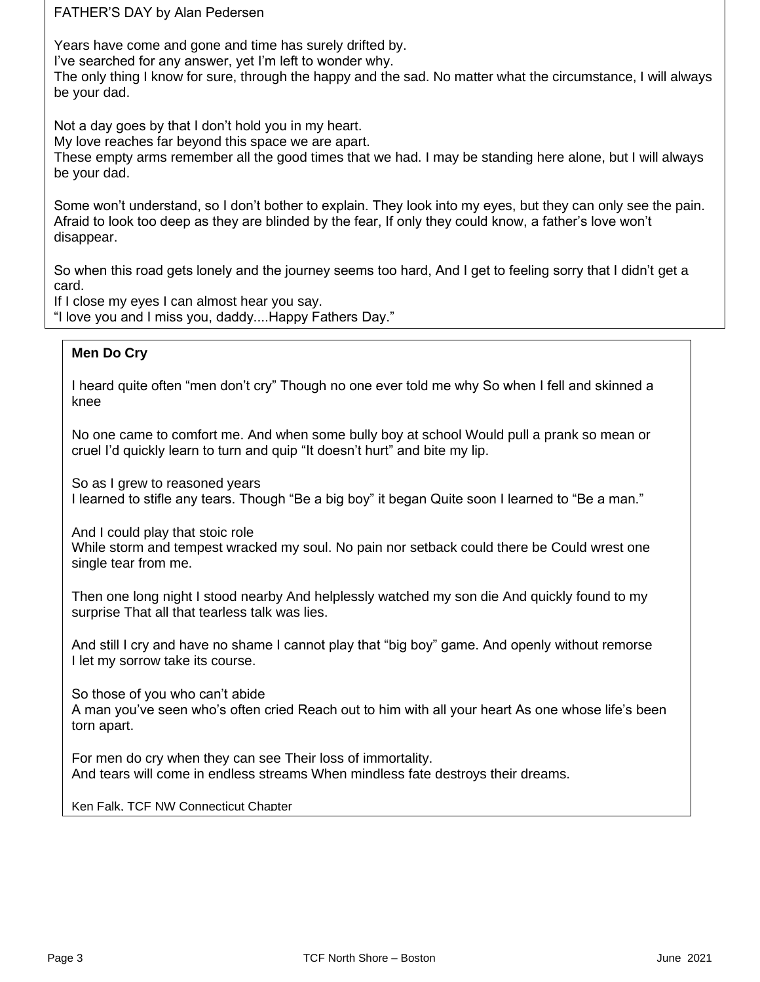FATHER'S DAY by Alan Pedersen

Years have come and gone and time has surely drifted by.

I've searched for any answer, yet I'm left to wonder why.

r ve searched for any answer, yet i'm left to wonder why.<br>The only thing I know for sure, through the happy and the sad. No matter what the circumstance, I will always be your dad.

 Not a day goes by that I don't hold you in my heart.

My love reaches far beyond this space we are apart.<br>These empty arms remember all the good times that

 These empty arms remember all the good times that we had. I may be standing here alone, but I will always be your dad.

 Some won't understand, so I don't bother to explain. They look into my eyes, but they can only see the pain. Afraid to look too deep as they are blinded by the fear, If only they could know, a father's love won't disappear.

So when this road gets lonely and the journey seems too hard, And I get to feeling sorry that I didn't get a card.

<sub>caru.</sub><br>If I close my eyes I can almost hear you say.

 "I love you and I miss you, daddy....Happy Fathers Day."

### **Men Do Cry**

 I heard quite often "men don't cry" Though no one ever told me why So when I fell and skinned a<br>knee knee

 No one came to comfort me. And when some bully boy at school Would pull a prank so mean or  cruel I'd quickly learn to turn and quip "It doesn't hurt" and bite my lip.

So as I grew to reasoned years

I learned to stifle any tears. Though "Be a big boy" it began Quite soon I learned to "Be a man."

And I could play that stoic role

 While storm and tempest wracked my soul. No pain nor setback could there be Could wrest one single tear from me.

Then one long night I stood nearby And helplessly watched my son die And quickly found to my surprise That all that tearless talk was lies.

And still I cry and have no shame I cannot play that "big boy" game. And openly without remorse I let my sorrow take its course.

So those of you who can't abide

A man you've seen who's often cried Reach out to him with all your heart As one whose life's been torn apart.

For men do cry when they can see Their loss of immortality. And tears will come in endless streams When mindless fate destroys their dreams.

Ken Falk, TCF NW Connecticut Chapter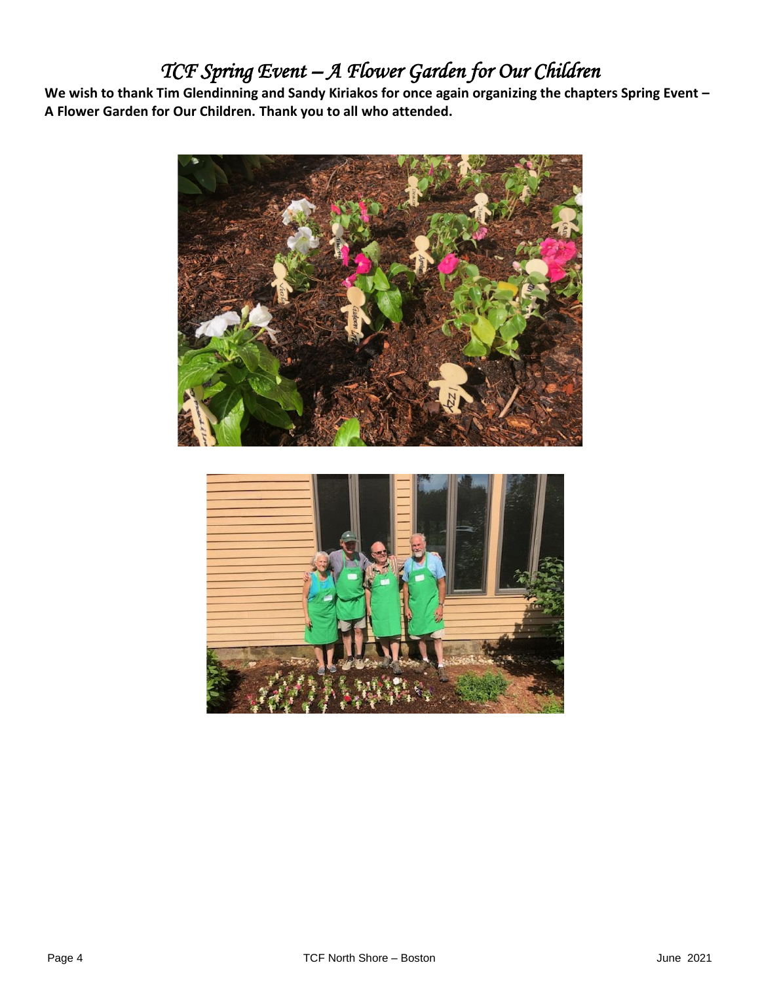## *TCF Spring Event – A Flower Garden for Our Children*

**We wish to thank Tim Glendinning and Sandy Kiriakos for once again organizing the chapters Spring Event – A Flower Garden for Our Children. Thank you to all who attended.** 



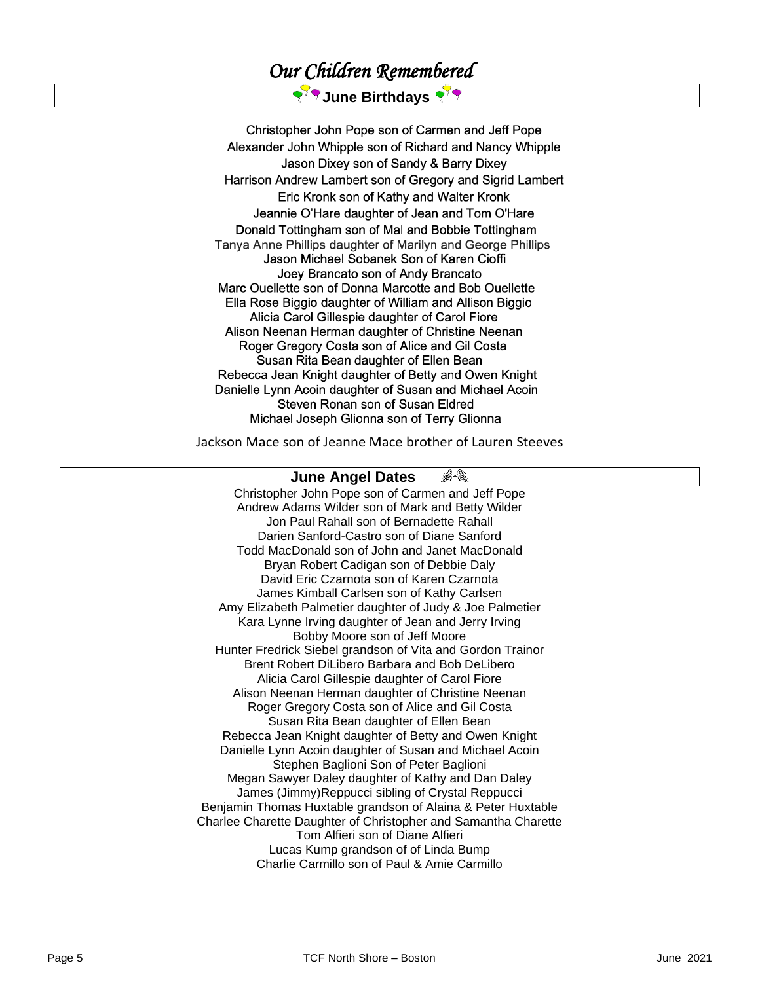## *Our Children Remembered*

## २<sup>२</sup>९ June Birthdays २<sup>२</sup>९

Christopher John Pope son of Carmen and Jeff Pope Alexander John Whipple son of Richard and Nancy Whipple Jason Dixey son of Sandy & Barry Dixey Harrison Andrew Lambert son of Gregory and Sigrid Lambert Eric Kronk son of Kathy and Walter Kronk Jeannie O'Hare daughter of Jean and Tom O'Hare Donald Tottingham son of Mal and Bobbie Tottingham Tanya Anne Phillips daughter of Marilyn and George Phillips Jason Michael Sobanek Son of Karen Cioffi Joey Brancato son of Andy Brancato Marc Ouellette son of Donna Marcotte and Bob Ouellette Ella Rose Biggio daughter of William and Allison Biggio Alicia Carol Gillespie daughter of Carol Fiore Alison Neenan Herman daughter of Christine Neenan Roger Gregory Costa son of Alice and Gil Costa Susan Rita Bean daughter of Ellen Bean Rebecca Jean Knight daughter of Betty and Owen Knight Danielle Lynn Acoin daughter of Susan and Michael Acoin Steven Ronan son of Susan Eldred Michael Joseph Glionna son of Terry Glionna

Jackson Mace son of Jeanne Mace brother of Lauren Steeves

#### 64 **June Angel Dates**

Christopher John Pope son of Carmen and Jeff Pope Andrew Adams Wilder son of Mark and Betty Wilder Jon Paul Rahall son of Bernadette Rahall Darien Sanford-Castro son of Diane Sanford Todd MacDonald son of John and Janet MacDonald Bryan Robert Cadigan son of Debbie Daly David Eric Czarnota son of Karen Czarnota James Kimball Carlsen son of Kathy Carlsen Amy Elizabeth Palmetier daughter of Judy & Joe Palmetier Kara Lynne Irving daughter of Jean and Jerry Irving Bobby Moore son of Jeff Moore Hunter Fredrick Siebel grandson of Vita and Gordon Trainor Brent Robert DiLibero Barbara and Bob DeLibero Alicia Carol Gillespie daughter of Carol Fiore Alison Neenan Herman daughter of Christine Neenan Roger Gregory Costa son of Alice and Gil Costa Susan Rita Bean daughter of Ellen Bean Rebecca Jean Knight daughter of Betty and Owen Knight Danielle Lynn Acoin daughter of Susan and Michael Acoin Stephen Baglioni Son of Peter Baglioni Megan Sawyer Daley daughter of Kathy and Dan Daley James (Jimmy)Reppucci sibling of Crystal Reppucci Benjamin Thomas Huxtable grandson of Alaina & Peter Huxtable Charlee Charette Daughter of Christopher and Samantha Charette Tom Alfieri son of Diane Alfieri Lucas Kump grandson of of Linda Bump Charlie Carmillo son of Paul & Amie Carmillo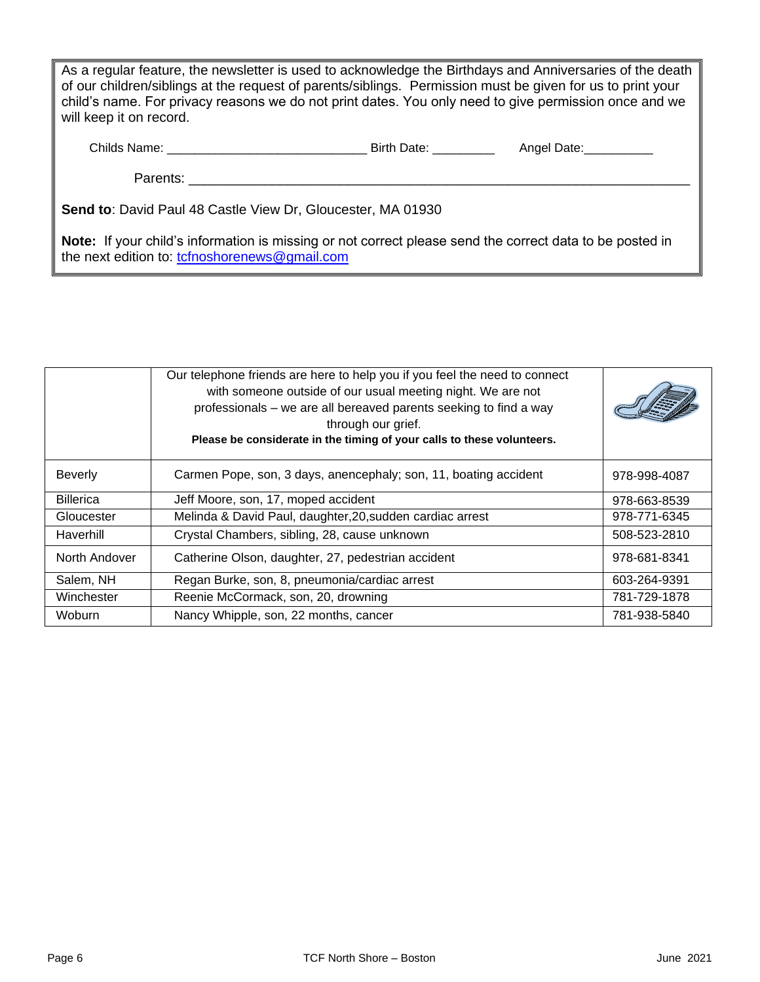As a regular feature, the newsletter is used to acknowledge the Birthdays and Anniversaries of the death of our children/siblings at the request of parents/siblings. Permission must be given for us to print your child's name. For privacy reasons we do not print dates. You only need to give permission once and we will keep it on record.

| Childs Name: | <b>Birth Da</b> | Jate<br>Anael - |
|--------------|-----------------|-----------------|
|--------------|-----------------|-----------------|

Parents: **Example 20** 

**Send to**: David Paul 48 Castle View Dr, Gloucester, MA 01930

**Note:** If your child's information is missing or not correct please send the correct data to be posted in the next edition to: [tcfnoshorenews@gmail.com](mailto:tcfnoshorenews@gmail.com)

|                  | Our telephone friends are here to help you if you feel the need to connect<br>with someone outside of our usual meeting night. We are not<br>professionals - we are all bereaved parents seeking to find a way<br>through our grief.<br>Please be considerate in the timing of your calls to these volunteers. |              |
|------------------|----------------------------------------------------------------------------------------------------------------------------------------------------------------------------------------------------------------------------------------------------------------------------------------------------------------|--------------|
| <b>Beverly</b>   | Carmen Pope, son, 3 days, anencephaly; son, 11, boating accident                                                                                                                                                                                                                                               | 978-998-4087 |
| <b>Billerica</b> | Jeff Moore, son, 17, moped accident                                                                                                                                                                                                                                                                            | 978-663-8539 |
| Gloucester       | Melinda & David Paul, daughter, 20, sudden cardiac arrest                                                                                                                                                                                                                                                      | 978-771-6345 |
| Haverhill        | Crystal Chambers, sibling, 28, cause unknown                                                                                                                                                                                                                                                                   | 508-523-2810 |
| North Andover    | Catherine Olson, daughter, 27, pedestrian accident                                                                                                                                                                                                                                                             | 978-681-8341 |
| Salem, NH        | Regan Burke, son, 8, pneumonia/cardiac arrest                                                                                                                                                                                                                                                                  | 603-264-9391 |
| Winchester       | Reenie McCormack, son, 20, drowning                                                                                                                                                                                                                                                                            | 781-729-1878 |
| Woburn           | Nancy Whipple, son, 22 months, cancer                                                                                                                                                                                                                                                                          | 781-938-5840 |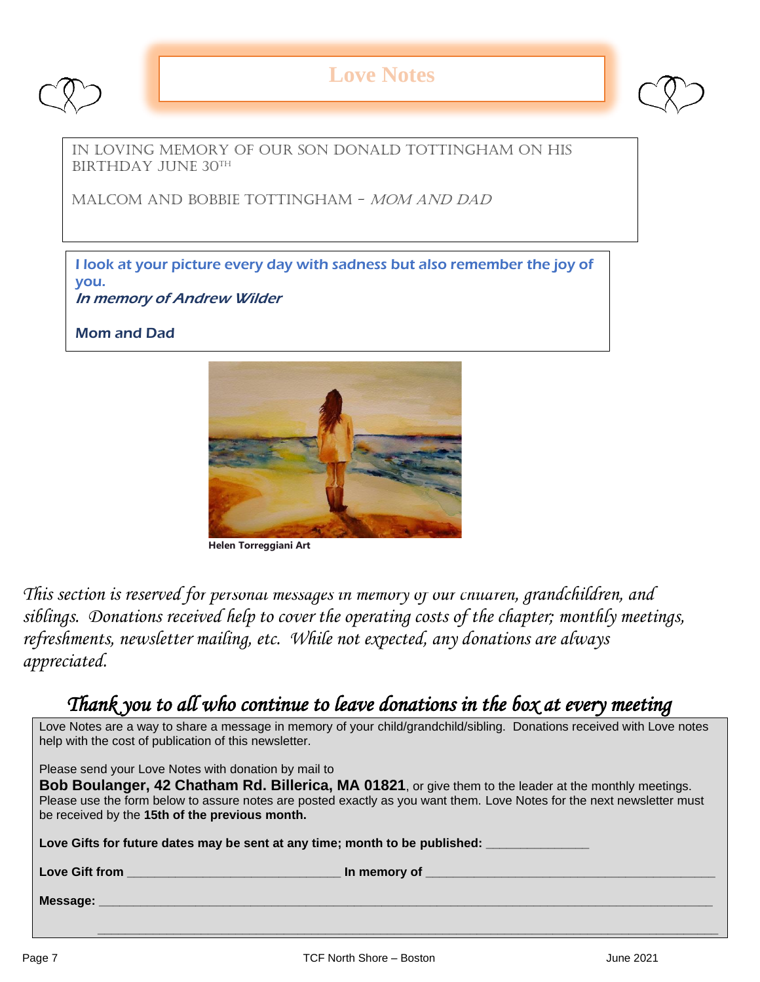

## **Love Notes**



In loving memory of our son Donald Tottingham on his BIRTHDAY JUNE 30TH

Malcom and Bobbie Tottingham - Mom and Dad

I look at your picture every day with sadness but also remember the joy of you. In memory of Andrew Wilder

Mom and Dad



**Helen Torreggiani Art**

*This section is reserved for personal messages in memory of our children, grandchildren, and siblings. Donations received help to cover the operating costs of the chapter; monthly meetings, refreshments, newsletter mailing, etc. While not expected, any donations are always appreciated.*

## *Thank you to all who continue to leave donations in the box at every meeting*

| Love Notes are a way to share a message in memory of your child/grandchild/sibling. Donations received with Love notes<br>help with the cost of publication of this newsletter.                                                                                                                                                                    |  |  |
|----------------------------------------------------------------------------------------------------------------------------------------------------------------------------------------------------------------------------------------------------------------------------------------------------------------------------------------------------|--|--|
| Please send your Love Notes with donation by mail to<br><b>Bob Boulanger, 42 Chatham Rd. Billerica, MA 01821</b> , or give them to the leader at the monthly meetings.<br>Please use the form below to assure notes are posted exactly as you want them. Love Notes for the next newsletter must<br>be received by the 15th of the previous month. |  |  |
| Love Gifts for future dates may be sent at any time; month to be published:                                                                                                                                                                                                                                                                        |  |  |
|                                                                                                                                                                                                                                                                                                                                                    |  |  |
|                                                                                                                                                                                                                                                                                                                                                    |  |  |

 **\_\_\_\_\_\_\_\_\_\_\_\_\_\_\_\_\_\_\_\_\_\_\_\_\_\_\_\_\_\_\_\_\_\_\_\_\_\_\_\_\_\_\_\_\_\_\_\_\_\_\_\_\_\_\_\_\_\_\_\_\_\_\_\_\_\_\_\_\_\_\_\_\_\_\_\_\_\_\_\_\_\_\_\_\_\_\_\_\_\_**